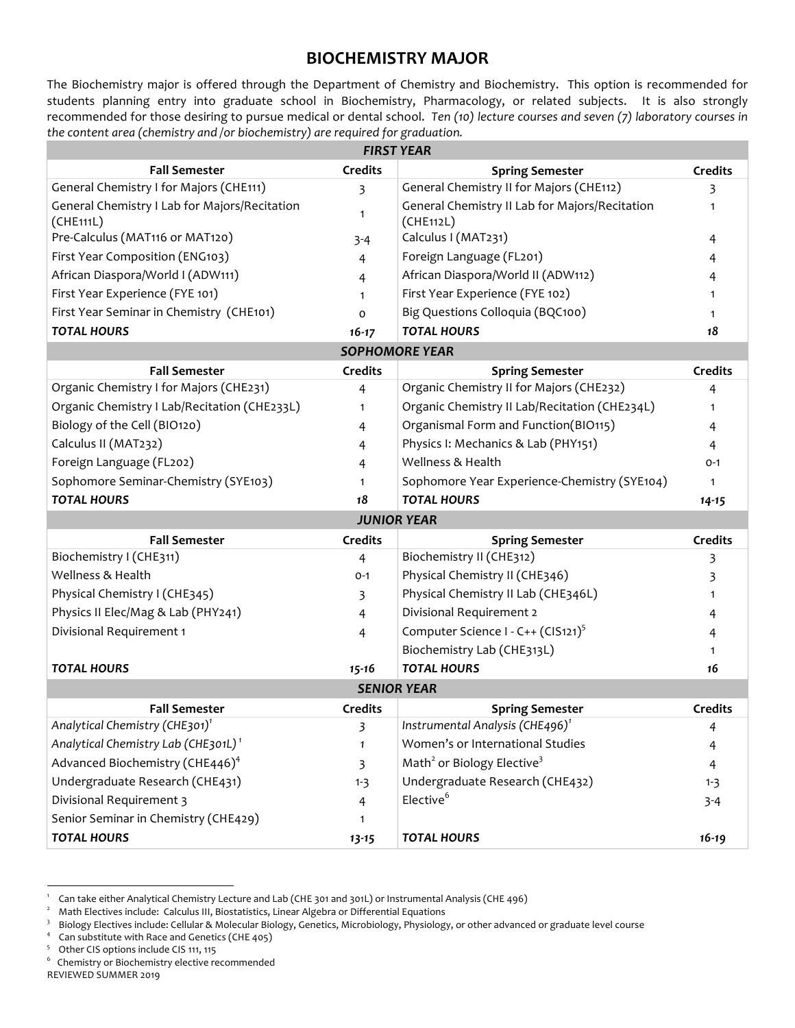#### **BIOCHEMISTRY MAJOR**

The Biochemistry major is offered through the Department of Chemistry and Biochemistry. This option is recommended for students planning entry into graduate school in Biochemistry, Pharmacology, or related subjects. It is also strongly recommended for those desiring to pursue medical or dental school. *Ten (10) lecture courses and seven (7) laboratory courses in the content area (chemistry and /or biochemistry) are required for graduation.*

| <b>FIRST YEAR</b>                                          |                |                                                             |                |  |
|------------------------------------------------------------|----------------|-------------------------------------------------------------|----------------|--|
| <b>Fall Semester</b>                                       | <b>Credits</b> | <b>Spring Semester</b>                                      | <b>Credits</b> |  |
| General Chemistry I for Majors (CHE111)                    | 3              | General Chemistry II for Majors (CHE112)                    | 3              |  |
| General Chemistry I Lab for Majors/Recitation<br>(CHE111L) | $\mathbf{1}$   | General Chemistry II Lab for Majors/Recitation<br>(CHE112L) | $\mathbf{1}$   |  |
| Pre-Calculus (MAT116 or MAT120)                            | $3 - 4$        | Calculus I (MAT231)                                         | 4              |  |
| First Year Composition (ENG103)                            | 4              | Foreign Language (FL201)                                    | 4              |  |
| African Diaspora/World I (ADW111)                          | 4              | African Diaspora/World II (ADW112)                          | 4              |  |
| First Year Experience (FYE 101)                            | 1              | First Year Experience (FYE 102)                             | 1              |  |
| First Year Seminar in Chemistry (CHE101)                   | $\mathsf{o}$   | Big Questions Colloquia (BQC100)                            | 1              |  |
| <b>TOTAL HOURS</b>                                         | $16 - 17$      | <b>TOTAL HOURS</b>                                          | 18             |  |
|                                                            |                | <b>SOPHOMORE YEAR</b>                                       |                |  |
| <b>Fall Semester</b>                                       | <b>Credits</b> | <b>Spring Semester</b>                                      | <b>Credits</b> |  |
| Organic Chemistry I for Majors (CHE231)                    | 4              | Organic Chemistry II for Majors (CHE232)                    | 4              |  |
| Organic Chemistry I Lab/Recitation (CHE233L)               | $\mathbf{1}$   | Organic Chemistry II Lab/Recitation (CHE234L)               | $\mathbf{1}$   |  |
| Biology of the Cell (BIO120)                               | 4              | Organismal Form and Function(BIO115)                        | 4              |  |
| Calculus II (MAT232)                                       | 4              | Physics I: Mechanics & Lab (PHY151)                         | 4              |  |
| Foreign Language (FL202)                                   | 4              | Wellness & Health                                           | $O - 1$        |  |
| Sophomore Seminar-Chemistry (SYE103)                       | 1              | Sophomore Year Experience-Chemistry (SYE104)                | $\mathbf{1}$   |  |
| <b>TOTAL HOURS</b>                                         | 18             | <b>TOTAL HOURS</b>                                          | $14 - 15$      |  |
|                                                            |                | <b>JUNIOR YEAR</b>                                          |                |  |
| <b>Fall Semester</b>                                       | <b>Credits</b> | <b>Spring Semester</b>                                      | <b>Credits</b> |  |
| Biochemistry I (CHE311)                                    | 4              | Biochemistry II (CHE312)                                    | 3              |  |
| Wellness & Health                                          | $O - 1$        | Physical Chemistry II (CHE346)                              | 3              |  |
| Physical Chemistry I (CHE345)                              | 3              | Physical Chemistry II Lab (CHE346L)                         | 1              |  |
| Physics II Elec/Mag & Lab (PHY241)                         | 4              | Divisional Requirement 2                                    | 4              |  |
| Divisional Requirement 1                                   | 4              | Computer Science I - C++ (CIS121) <sup>5</sup>              | 4              |  |
|                                                            |                | Biochemistry Lab (CHE313L)                                  | 1              |  |
| <b>TOTAL HOURS</b>                                         | 15-16          | <b>TOTAL HOURS</b>                                          | 16             |  |
| <b>SENIOR YEAR</b>                                         |                |                                                             |                |  |
| <b>Fall Semester</b>                                       | <b>Credits</b> | <b>Spring Semester</b>                                      | <b>Credits</b> |  |
| Analytical Chemistry (CHE301) <sup>1</sup>                 | 3              | Instrumental Analysis (CHE496) <sup>1</sup>                 | 4              |  |
| Analytical Chemistry Lab (CHE301L) <sup>1</sup>            | $\mathbf{1}$   | Women's or International Studies                            | 4              |  |
| Advanced Biochemistry (CHE446) <sup>4</sup>                | 3              | Math <sup>2</sup> or Biology Elective <sup>3</sup>          | 4              |  |
| Undergraduate Research (CHE431)                            | $1 - 3$        | Undergraduate Research (CHE432)                             | $1 - 3$        |  |
| Divisional Requirement 3                                   | 4              | Elective <sup>6</sup>                                       | $3 - 4$        |  |
| Senior Seminar in Chemistry (CHE429)                       | $\mathbf{1}$   |                                                             |                |  |
| <b>TOTAL HOURS</b>                                         | $13 - 15$      | <b>TOTAL HOURS</b>                                          | $16 - 19$      |  |

<sup>|&</sup>lt;br>1 Can take either Analytical Chemistry Lecture and Lab (CHE 301 and 301L) or Instrumental Analysis (CHE 496)

<sup>2</sup> Math Electives include: Calculus III, Biostatistics, Linear Algebra or Differential Equations

<sup>&</sup>lt;sup>3</sup> Biology Electives include: Cellular & Molecular Biology, Genetics, Microbiology, Physiology, or other advanced or graduate level course

<sup>4</sup> Can substitute with Race and Genetics (CHE 405)<br>5 Other CIS options include CIS 111, 115

<sup>6</sup> Chemistry or Biochemistry elective recommended

REVIEWED SUMMER 2019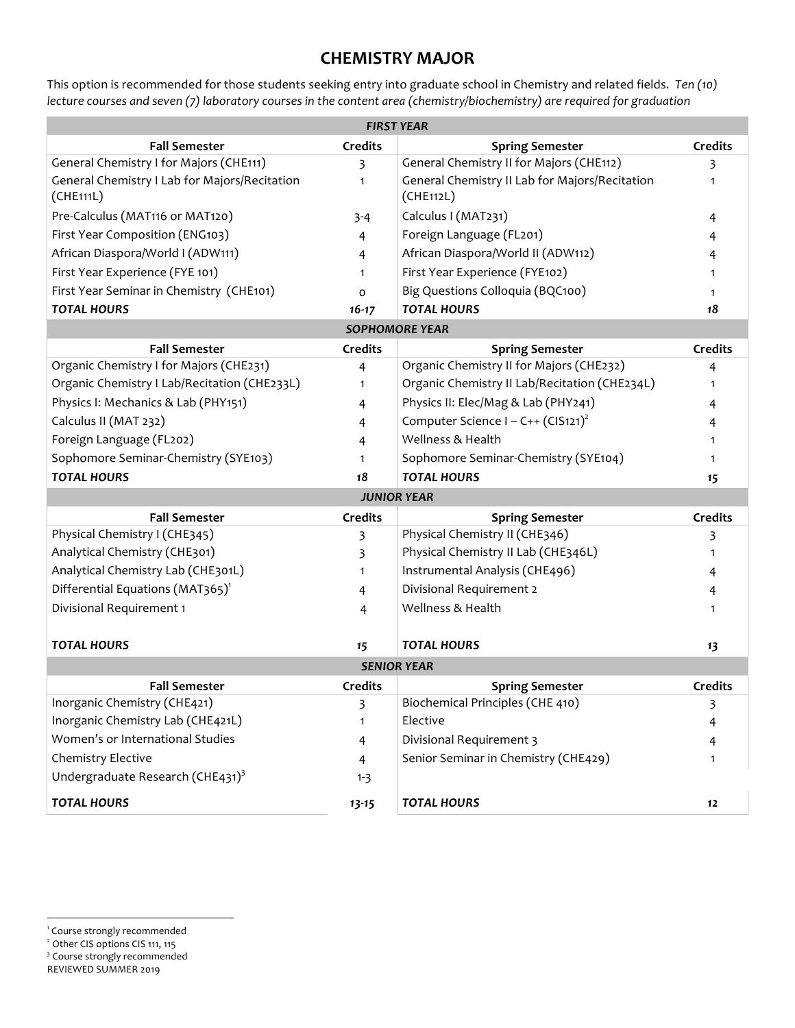## **CHEMISTRY MAJOR**

This option is recommended for those students seeking entry into graduate school in Chemistry and related fields.*Ten (10) lecture courses and seven (7) laboratory courses in the content area (chemistry/biochemistry) are required for graduation*

| <b>FIRST YEAR</b>                                          |                |                                                             |                |  |
|------------------------------------------------------------|----------------|-------------------------------------------------------------|----------------|--|
| <b>Fall Semester</b>                                       | <b>Credits</b> | <b>Spring Semester</b>                                      | <b>Credits</b> |  |
| General Chemistry I for Majors (CHE111)                    | 3              | General Chemistry II for Majors (CHE112)                    | 3              |  |
| General Chemistry I Lab for Majors/Recitation<br>(CHE111L) | $\mathbf{1}$   | General Chemistry II Lab for Majors/Recitation<br>(CHE112L) | $\mathbf{1}$   |  |
| Pre-Calculus (MAT116 or MAT120)                            | $3 - 4$        | Calculus I (MAT231)                                         | 4              |  |
| First Year Composition (ENG103)                            | 4              | Foreign Language (FL201)                                    | 4              |  |
| African Diaspora/World I (ADW111)                          | 4              | African Diaspora/World II (ADW112)                          | 4              |  |
| First Year Experience (FYE 101)                            | $\mathbf{1}$   | First Year Experience (FYE102)                              | 1              |  |
| First Year Seminar in Chemistry (CHE101)                   | o              | Big Questions Colloquia (BQC100)                            | 1              |  |
| <b>TOTAL HOURS</b>                                         | $16 - 17$      | <b>TOTAL HOURS</b>                                          | 18             |  |
|                                                            |                | <b>SOPHOMORE YEAR</b>                                       |                |  |
| <b>Fall Semester</b>                                       | <b>Credits</b> | <b>Spring Semester</b>                                      | <b>Credits</b> |  |
| Organic Chemistry I for Majors (CHE231)                    | $\overline{4}$ | Organic Chemistry II for Majors (CHE232)                    | 4              |  |
| Organic Chemistry I Lab/Recitation (CHE233L)               | 1              | Organic Chemistry II Lab/Recitation (CHE234L)               | 1              |  |
| Physics I: Mechanics & Lab (PHY151)                        | 4              | Physics II: Elec/Mag & Lab (PHY241)                         | 4              |  |
| Calculus II (MAT 232)                                      | 4              | Computer Science I – C++ $(CIS121)^2$                       | 4              |  |
| Foreign Language (FL202)                                   | 4              | Wellness & Health                                           | 1              |  |
| Sophomore Seminar-Chemistry (SYE103)                       | 1              | Sophomore Seminar-Chemistry (SYE104)                        | 1              |  |
| <b>TOTAL HOURS</b>                                         | 18             | <b>TOTAL HOURS</b>                                          | 15             |  |
|                                                            |                | <b>JUNIOR YEAR</b>                                          |                |  |
| <b>Fall Semester</b>                                       | <b>Credits</b> | <b>Spring Semester</b>                                      | <b>Credits</b> |  |
| Physical Chemistry I (CHE345)                              | 3              | Physical Chemistry II (CHE346)                              | 3              |  |
| Analytical Chemistry (CHE301)                              | 3              | Physical Chemistry II Lab (CHE346L)                         | 1              |  |
| Analytical Chemistry Lab (CHE301L)                         | 1              | Instrumental Analysis (CHE496)                              | 4              |  |
| Differential Equations (MAT365) <sup>1</sup>               | 4              | Divisional Requirement 2                                    | 4              |  |
| Divisional Requirement 1                                   | 4              | Wellness & Health                                           | 1              |  |
|                                                            |                |                                                             |                |  |
| <b>TOTAL HOURS</b>                                         | 15             | <b>TOTAL HOURS</b>                                          | 13             |  |
|                                                            |                | <b>SENIOR YEAR</b>                                          |                |  |
| <b>Fall Semester</b>                                       | <b>Credits</b> | <b>Spring Semester</b>                                      | <b>Credits</b> |  |
| Inorganic Chemistry (CHE421)                               | 3              | Biochemical Principles (CHE 410)                            | 3              |  |
| Inorganic Chemistry Lab (CHE421L)                          | $\mathbf{1}$   | Elective                                                    | 4              |  |
| Women's or International Studies                           | $\overline{4}$ | Divisional Requirement 3                                    | 4              |  |
| Chemistry Elective                                         | $\overline{4}$ | Senior Seminar in Chemistry (CHE429)                        | 1              |  |
| Undergraduate Research (CHE431) <sup>3</sup>               | $1 - 3$        |                                                             |                |  |
| <b>TOTAL HOURS</b>                                         | $13 - 15$      | <b>TOTAL HOURS</b>                                          | 12             |  |

<u>.</u>

<sup>&</sup>lt;sup>1</sup> Course strongly recommended

<sup>&</sup>lt;sup>2</sup> Other CIS options CIS 111, 115

<sup>&</sup>lt;sup>3</sup> Course strongly recommended

REVIEWED SUMMER 2019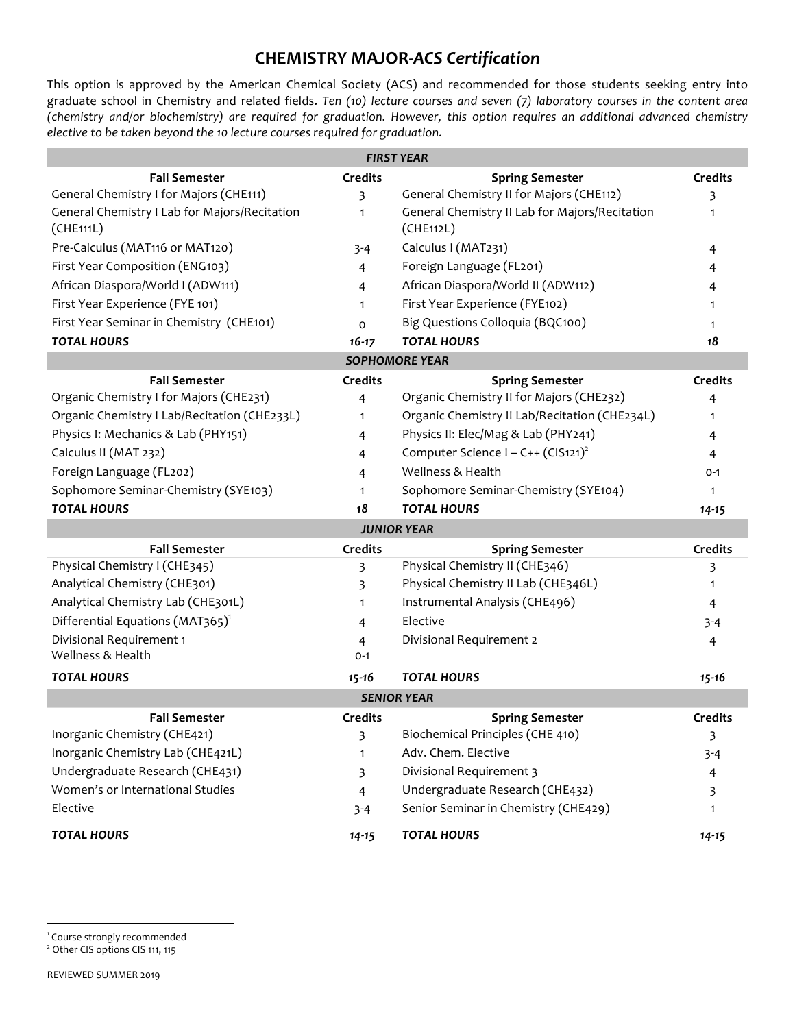## **CHEMISTRY MAJOR-***ACS Certification*

This option is approved by the American Chemical Society (ACS) and recommended for those students seeking entry into graduate school in Chemistry and related fields. *Ten (10) lecture courses and seven (7) laboratory courses in the content area (chemistry and/or biochemistry) are required for graduation. However, this option requires an additional advanced chemistry elective to be taken beyond the 10 lecture courses required for graduation.*

| <b>FIRST YEAR</b>                                          |                |                                                             |                |  |
|------------------------------------------------------------|----------------|-------------------------------------------------------------|----------------|--|
| <b>Fall Semester</b>                                       | <b>Credits</b> | <b>Spring Semester</b>                                      | <b>Credits</b> |  |
| General Chemistry I for Majors (CHE111)                    | 3              | General Chemistry II for Majors (CHE112)                    | 3              |  |
| General Chemistry I Lab for Majors/Recitation<br>(CHE111L) | 1              | General Chemistry II Lab for Majors/Recitation<br>(CHE112L) |                |  |
| Pre-Calculus (MAT116 or MAT120)                            | $3 - 4$        | Calculus I (MAT231)                                         | 4              |  |
| First Year Composition (ENG103)                            | 4              | Foreign Language (FL201)                                    | 4              |  |
| African Diaspora/World I (ADW111)                          | 4              | African Diaspora/World II (ADW112)                          | 4              |  |
| First Year Experience (FYE 101)                            | 1              | First Year Experience (FYE102)                              |                |  |
| First Year Seminar in Chemistry (CHE101)                   | $\mathsf{o}$   | Big Questions Colloquia (BQC100)                            | 1              |  |
| <b>TOTAL HOURS</b>                                         | $16 - 17$      | <b>TOTAL HOURS</b>                                          | 18             |  |
|                                                            |                | <b>SOPHOMORE YEAR</b>                                       |                |  |
| <b>Fall Semester</b>                                       | <b>Credits</b> | <b>Spring Semester</b>                                      | <b>Credits</b> |  |
| Organic Chemistry I for Majors (CHE231)                    | 4              | Organic Chemistry II for Majors (CHE232)                    | 4              |  |
| Organic Chemistry I Lab/Recitation (CHE233L)               | 1              | Organic Chemistry II Lab/Recitation (CHE234L)               | 1              |  |
| Physics I: Mechanics & Lab (PHY151)                        | 4              | Physics II: Elec/Mag & Lab (PHY241)                         | 4              |  |
| Calculus II (MAT 232)                                      | 4              | Computer Science I – C++ $(CIS121)^2$                       | 4              |  |
| Foreign Language (FL202)                                   | 4              | Wellness & Health                                           | $O-1$          |  |
| Sophomore Seminar-Chemistry (SYE103)                       | 1              | Sophomore Seminar-Chemistry (SYE104)                        |                |  |
| <b>TOTAL HOURS</b>                                         | 18             | <b>TOTAL HOURS</b>                                          | $14 - 15$      |  |
|                                                            |                | <b>JUNIOR YEAR</b>                                          |                |  |
| <b>Fall Semester</b>                                       | <b>Credits</b> | <b>Spring Semester</b>                                      | Credits        |  |
| Physical Chemistry I (CHE345)                              | 3              | Physical Chemistry II (CHE346)                              | 3              |  |
| Analytical Chemistry (CHE301)                              | 3              | Physical Chemistry II Lab (CHE346L)                         | 1              |  |
| Analytical Chemistry Lab (CHE301L)                         | 1              | Instrumental Analysis (CHE496)                              | 4              |  |
| Differential Equations (MAT365) <sup>1</sup>               | 4              | Elective                                                    | $3 - 4$        |  |
| Divisional Requirement 1                                   | 4              | Divisional Requirement 2                                    | 4              |  |
| Wellness & Health                                          | $O - 1$        |                                                             |                |  |
| <b>TOTAL HOURS</b>                                         | $15 - 16$      | <b>TOTAL HOURS</b>                                          | $15 - 16$      |  |
| <b>SENIOR YEAR</b>                                         |                |                                                             |                |  |
| <b>Fall Semester</b>                                       | <b>Credits</b> | <b>Spring Semester</b>                                      | <b>Credits</b> |  |
| Inorganic Chemistry (CHE421)                               | 3              | Biochemical Principles (CHE 410)                            | 3              |  |
| Inorganic Chemistry Lab (CHE421L)                          | 1              | Adv. Chem. Elective                                         | $3 - 4$        |  |
| Undergraduate Research (CHE431)                            | 3              | Divisional Requirement 3                                    | $\overline{4}$ |  |
| Women's or International Studies                           | $\overline{4}$ | Undergraduate Research (CHE432)                             | 3              |  |
| Elective                                                   | $3 - 4$        | Senior Seminar in Chemistry (CHE429)                        |                |  |
| <b>TOTAL HOURS</b>                                         | $14 - 15$      | <b>TOTAL HOURS</b>                                          | $14 - 15$      |  |

<sup>1</sup> Course strongly recommended

<sup>2</sup> Other CIS options CIS 111, 115

1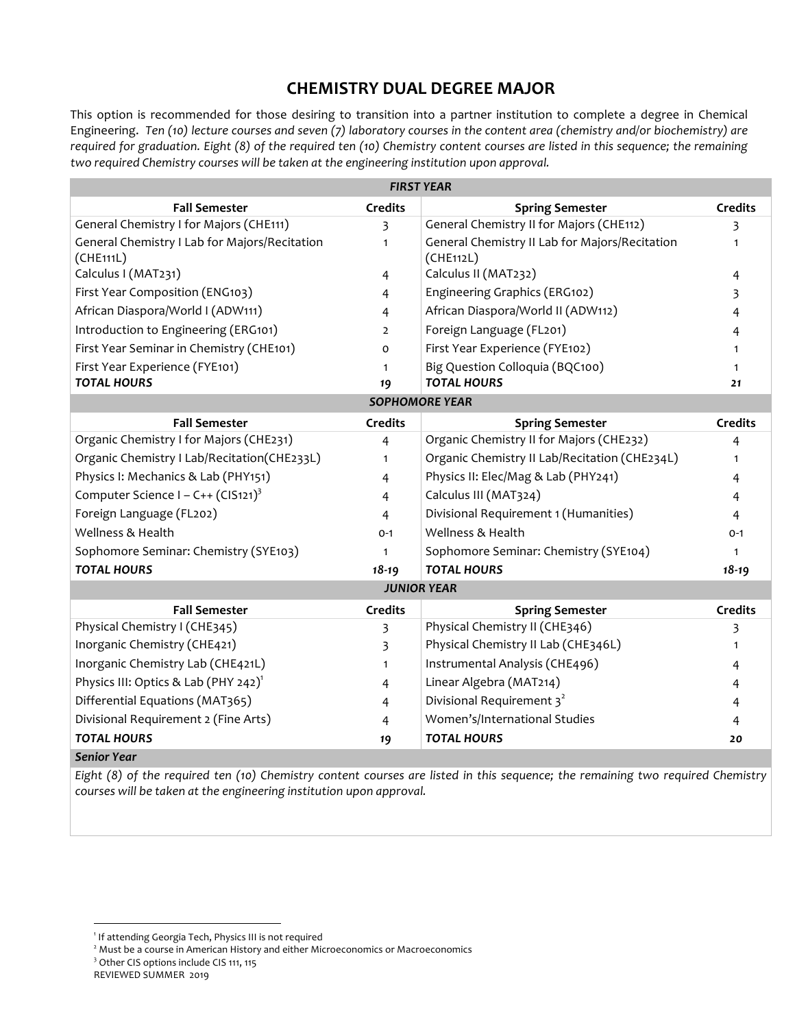## **CHEMISTRY DUAL DEGREE MAJOR**

This option is recommended for those desiring to transition into a partner institution to complete a degree in Chemical Engineering. *Ten (10) lecture courses and seven (7) laboratory courses in the content area (chemistry and/or biochemistry) are required for graduation. Eight (8) of the required ten (10) Chemistry content courses are listed in this sequence; the remaining two required Chemistry courses will be taken at the engineering institution upon approval.*

| <b>FIRST YEAR</b>                                |                |                                                |                |  |
|--------------------------------------------------|----------------|------------------------------------------------|----------------|--|
| <b>Fall Semester</b>                             | <b>Credits</b> | <b>Spring Semester</b>                         | <b>Credits</b> |  |
| General Chemistry I for Majors (CHE111)          | 3              | General Chemistry II for Majors (CHE112)       | 3              |  |
| General Chemistry I Lab for Majors/Recitation    | $\mathbf{1}$   | General Chemistry II Lab for Majors/Recitation | $\mathbf{1}$   |  |
| (CHE111L)                                        |                | (CHE112L)                                      |                |  |
| Calculus I (MAT231)                              | 4              | Calculus II (MAT232)                           | 4              |  |
| First Year Composition (ENG103)                  | 4              | Engineering Graphics (ERG102)                  | 3              |  |
| African Diaspora/World I (ADW111)                | 4              | African Diaspora/World II (ADW112)             | 4              |  |
| Introduction to Engineering (ERG101)             | $\overline{2}$ | Foreign Language (FL201)                       | 4              |  |
| First Year Seminar in Chemistry (CHE101)         | $\Omega$       | First Year Experience (FYE102)                 | 1              |  |
| First Year Experience (FYE101)                   | $\mathbf{1}$   | Big Question Colloquia (BQC100)                | 1              |  |
| <b>TOTAL HOURS</b>                               | 19             | <b>TOTAL HOURS</b>                             | 21             |  |
|                                                  |                | <b>SOPHOMORE YEAR</b>                          |                |  |
| <b>Fall Semester</b>                             | <b>Credits</b> | <b>Spring Semester</b>                         | <b>Credits</b> |  |
| Organic Chemistry I for Majors (CHE231)          | 4              | Organic Chemistry II for Majors (CHE232)       | 4              |  |
| Organic Chemistry I Lab/Recitation(CHE233L)      | $\mathbf{1}$   | Organic Chemistry II Lab/Recitation (CHE234L)  | $\mathbf{1}$   |  |
| Physics I: Mechanics & Lab (PHY151)              | 4              | Physics II: Elec/Mag & Lab (PHY241)            | 4              |  |
| Computer Science I – C++ (CIS121) <sup>3</sup>   | 4              | Calculus III (MAT324)                          | 4              |  |
| Foreign Language (FL202)                         | 4              | Divisional Requirement 1 (Humanities)          | 4              |  |
| Wellness & Health                                | $O - 1$        | Wellness & Health                              | $O - 1$        |  |
| Sophomore Seminar: Chemistry (SYE103)            | $\mathbf{1}$   | Sophomore Seminar: Chemistry (SYE104)          | $\mathbf{1}$   |  |
| <b>TOTAL HOURS</b>                               | $18 - 19$      | <b>TOTAL HOURS</b>                             | $18 - 19$      |  |
|                                                  |                | <b>JUNIOR YEAR</b>                             |                |  |
| <b>Fall Semester</b>                             | <b>Credits</b> | <b>Spring Semester</b>                         | <b>Credits</b> |  |
| Physical Chemistry I (CHE345)                    | 3              | Physical Chemistry II (CHE346)                 | 3              |  |
| Inorganic Chemistry (CHE421)                     | 3              | Physical Chemistry II Lab (CHE346L)            | $\mathbf{1}$   |  |
| Inorganic Chemistry Lab (CHE421L)                | $\mathbf{1}$   | Instrumental Analysis (CHE496)                 | 4              |  |
| Physics III: Optics & Lab (PHY 242) <sup>1</sup> | 4              | Linear Algebra (MAT214)                        | 4              |  |
| Differential Equations (MAT365)                  | 4              | Divisional Requirement 3 <sup>2</sup>          | 4              |  |
| Divisional Requirement 2 (Fine Arts)             | 4              | Women's/International Studies                  | 4              |  |
| <b>TOTAL HOURS</b>                               | 19             | <b>TOTAL HOURS</b>                             | 20             |  |
| <b>Senior Year</b>                               |                |                                                |                |  |

*Eight (8) of the required ten (10) Chemistry content courses are listed in this sequence; the remaining two required Chemistry courses will be taken at the engineering institution upon approval.*

1

<sup>&</sup>lt;sup>1</sup> If attending Georgia Tech, Physics III is not required

<sup>&</sup>lt;sup>2</sup> Must be a course in American History and either Microeconomics or Macroeconomics

<sup>&</sup>lt;sup>3</sup> Other CIS options include CIS 111, 115

REVIEWED SUMMER 2019